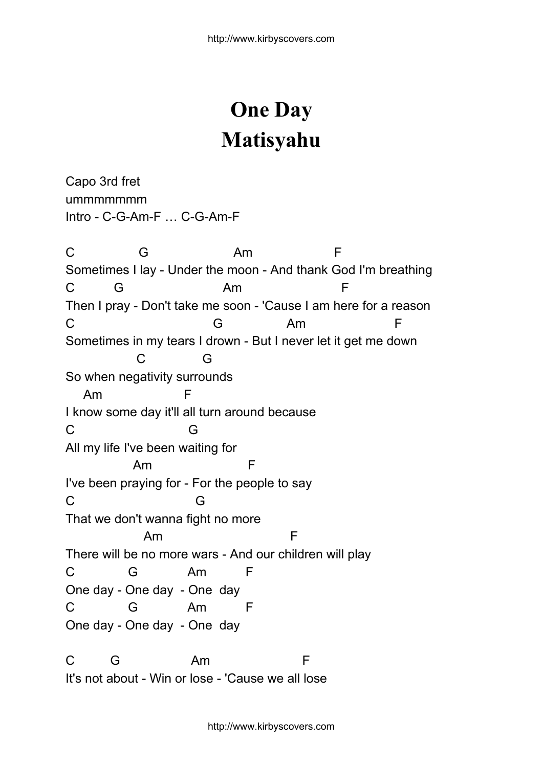## **One Day Matisyahu**

Capo 3rd fret ummmmmmm Intro - C-G-Am-F … C-G-Am-F

C G Am F Sometimes I lay - Under the moon - And thank God I'm breathing C G Am F Then I pray - Don't take me soon - 'Cause I am here for a reason C G Am F Sometimes in my tears I drown - But I never let it get me down C G So when negativity surrounds Am F I know some day it'll all turn around because C G All my life I've been waiting for Am F I've been praying for - For the people to say C G That we don't wanna fight no more Am F There will be no more wars - And our children will play C G Am F One day - One day - One day C G Am F One day - One day - One day C G Am F It's not about - Win or lose - 'Cause we all lose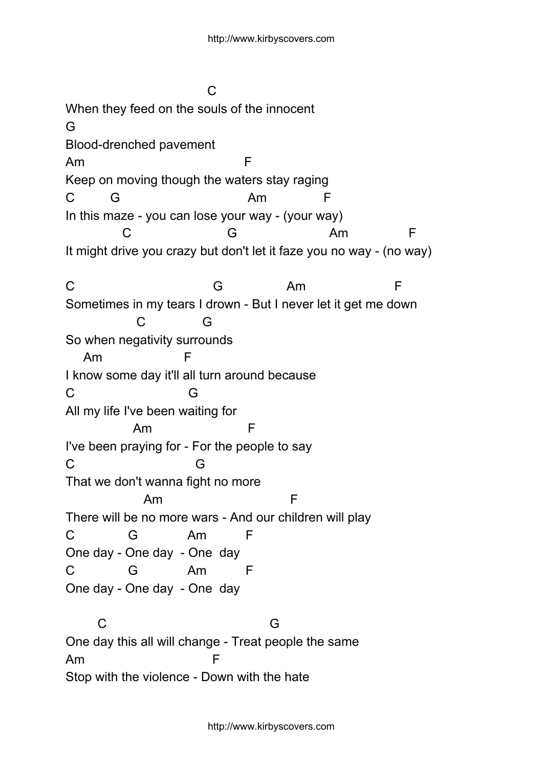$\mathcal{C}$ When they feed on the souls of the innocent G Blood-drenched pavement Am F Keep on moving though the waters stay raging C G Am F In this maze - you can lose your way - (your way) C G Am F It might drive you crazy but don't let it faze you no way - (no way) C G Am F Sometimes in my tears I drown - But I never let it get me down C G So when negativity surrounds Am F I know some day it'll all turn around because C G All my life I've been waiting for Am F I've been praying for - For the people to say C G That we don't wanna fight no more Am F There will be no more wars - And our children will play C G Am F One day - One day - One day C G Am F One day - One day - One day C G One day this all will change - Treat people the same Am F Stop with the violence - Down with the hate